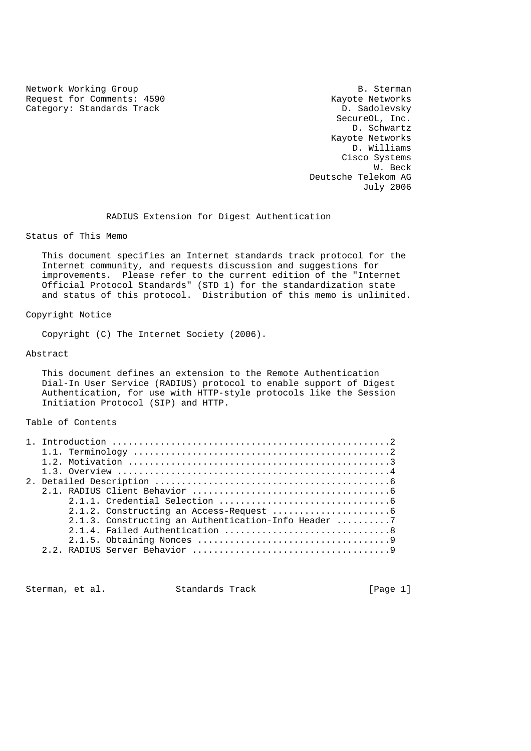Network Working Group<br>Request for Comments: 4590 Mayote Networks Request for Comments: 4590 Category: Standards Track D. Sadolevsky

 SecureOL, Inc. D. Schwartz Kayote Networks D. Williams Cisco Systems w. Beck with the state of the state of the state of the state of the state of the state of the state of the state of the state of the state of the state of the state of the state of the state of the state of the state of t Deutsche Telekom AG July 2006

RADIUS Extension for Digest Authentication

Status of This Memo

 This document specifies an Internet standards track protocol for the Internet community, and requests discussion and suggestions for improvements. Please refer to the current edition of the "Internet Official Protocol Standards" (STD 1) for the standardization state and status of this protocol. Distribution of this memo is unlimited.

## Copyright Notice

Copyright (C) The Internet Society (2006).

## Abstract

 This document defines an extension to the Remote Authentication Dial-In User Service (RADIUS) protocol to enable support of Digest Authentication, for use with HTTP-style protocols like the Session Initiation Protocol (SIP) and HTTP.

## Table of Contents

|  | 2.1.3. Constructing an Authentication-Info Header 7 |  |
|--|-----------------------------------------------------|--|
|  |                                                     |  |
|  |                                                     |  |
|  |                                                     |  |

Sterman, et al. Standards Track [Page 1]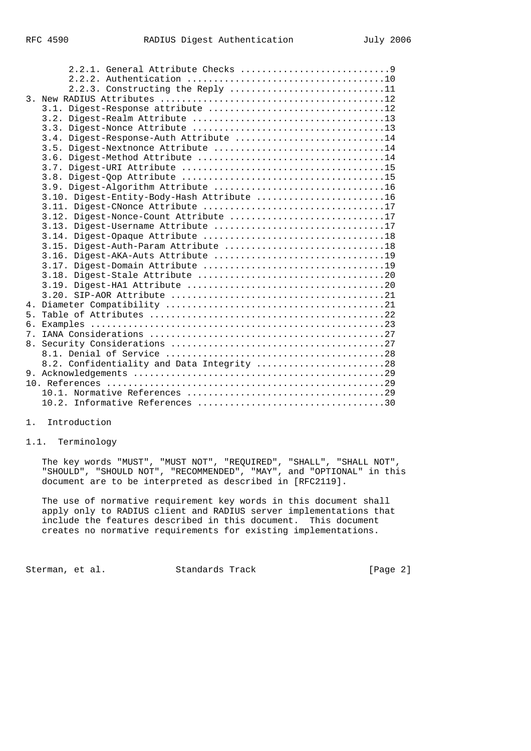|                | 2.2.3. Constructing the Reply 11           |
|----------------|--------------------------------------------|
|                |                                            |
|                |                                            |
|                |                                            |
|                |                                            |
|                | 3.4. Digest-Response-Auth Attribute 14     |
|                | 3.5. Digest-Nextnonce Attribute 14         |
|                |                                            |
|                |                                            |
|                |                                            |
|                |                                            |
|                | 3.10. Digest-Entity-Body-Hash Attribute 16 |
|                |                                            |
|                | 3.12. Digest-Nonce-Count Attribute 17      |
|                | 3.13. Digest-Username Attribute 17         |
|                |                                            |
|                |                                            |
|                |                                            |
|                |                                            |
|                |                                            |
|                |                                            |
|                |                                            |
|                |                                            |
| 5 <sub>1</sub> |                                            |
|                |                                            |
|                |                                            |
|                |                                            |
|                |                                            |
|                | 8.2. Confidentiality and Data Integrity 28 |
|                |                                            |
|                |                                            |
|                |                                            |
|                |                                            |

#### 1. Introduction

## 1.1. Terminology

 The key words "MUST", "MUST NOT", "REQUIRED", "SHALL", "SHALL NOT", "SHOULD", "SHOULD NOT", "RECOMMENDED", "MAY", and "OPTIONAL" in this document are to be interpreted as described in [RFC2119].

 The use of normative requirement key words in this document shall apply only to RADIUS client and RADIUS server implementations that include the features described in this document. This document creates no normative requirements for existing implementations.

Sterman, et al. Standards Track [Page 2]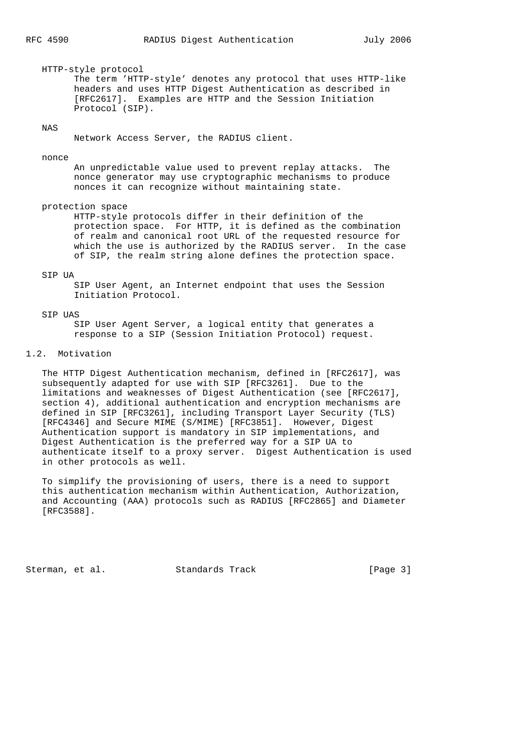HTTP-style protocol The term 'HTTP-style' denotes any protocol that uses HTTP-like headers and uses HTTP Digest Authentication as described in [RFC2617]. Examples are HTTP and the Session Initiation Protocol (SIP).

## NAS

Network Access Server, the RADIUS client.

#### nonce

 An unpredictable value used to prevent replay attacks. The nonce generator may use cryptographic mechanisms to produce nonces it can recognize without maintaining state.

#### protection space

 HTTP-style protocols differ in their definition of the protection space. For HTTP, it is defined as the combination of realm and canonical root URL of the requested resource for which the use is authorized by the RADIUS server. In the case of SIP, the realm string alone defines the protection space.

#### STP UA

 SIP User Agent, an Internet endpoint that uses the Session Initiation Protocol.

#### SIP UAS

 SIP User Agent Server, a logical entity that generates a response to a SIP (Session Initiation Protocol) request.

#### 1.2. Motivation

 The HTTP Digest Authentication mechanism, defined in [RFC2617], was subsequently adapted for use with SIP [RFC3261]. Due to the limitations and weaknesses of Digest Authentication (see [RFC2617], section 4), additional authentication and encryption mechanisms are defined in SIP [RFC3261], including Transport Layer Security (TLS) [RFC4346] and Secure MIME (S/MIME) [RFC3851]. However, Digest Authentication support is mandatory in SIP implementations, and Digest Authentication is the preferred way for a SIP UA to authenticate itself to a proxy server. Digest Authentication is used in other protocols as well.

 To simplify the provisioning of users, there is a need to support this authentication mechanism within Authentication, Authorization, and Accounting (AAA) protocols such as RADIUS [RFC2865] and Diameter [RFC3588].

Sterman, et al. Standards Track [Page 3]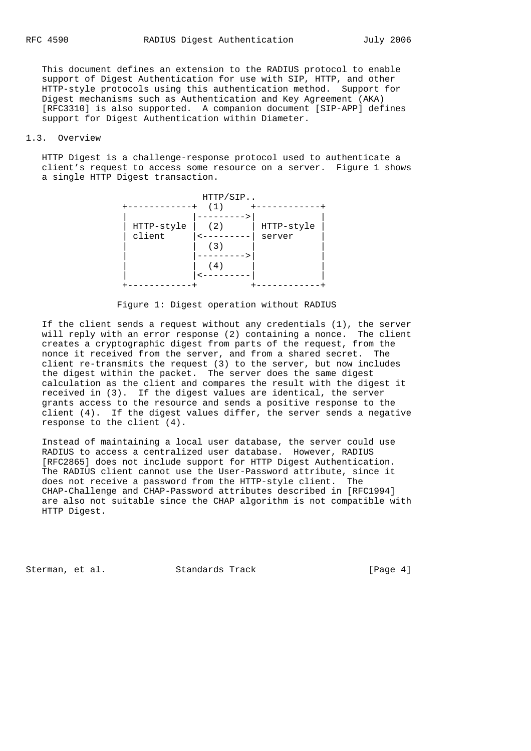This document defines an extension to the RADIUS protocol to enable support of Digest Authentication for use with SIP, HTTP, and other HTTP-style protocols using this authentication method. Support for Digest mechanisms such as Authentication and Key Agreement (AKA) [RFC3310] is also supported. A companion document [SIP-APP] defines support for Digest Authentication within Diameter.

## 1.3. Overview

 HTTP Digest is a challenge-response protocol used to authenticate a client's request to access some resource on a server. Figure 1 shows a single HTTP Digest transaction.



Figure 1: Digest operation without RADIUS

 If the client sends a request without any credentials (1), the server will reply with an error response (2) containing a nonce. The client creates a cryptographic digest from parts of the request, from the nonce it received from the server, and from a shared secret. The client re-transmits the request (3) to the server, but now includes the digest within the packet. The server does the same digest calculation as the client and compares the result with the digest it received in (3). If the digest values are identical, the server grants access to the resource and sends a positive response to the client (4). If the digest values differ, the server sends a negative response to the client (4).

 Instead of maintaining a local user database, the server could use RADIUS to access a centralized user database. However, RADIUS [RFC2865] does not include support for HTTP Digest Authentication. The RADIUS client cannot use the User-Password attribute, since it does not receive a password from the HTTP-style client. The CHAP-Challenge and CHAP-Password attributes described in [RFC1994] are also not suitable since the CHAP algorithm is not compatible with HTTP Digest.

Sterman, et al. Standards Track [Page 4]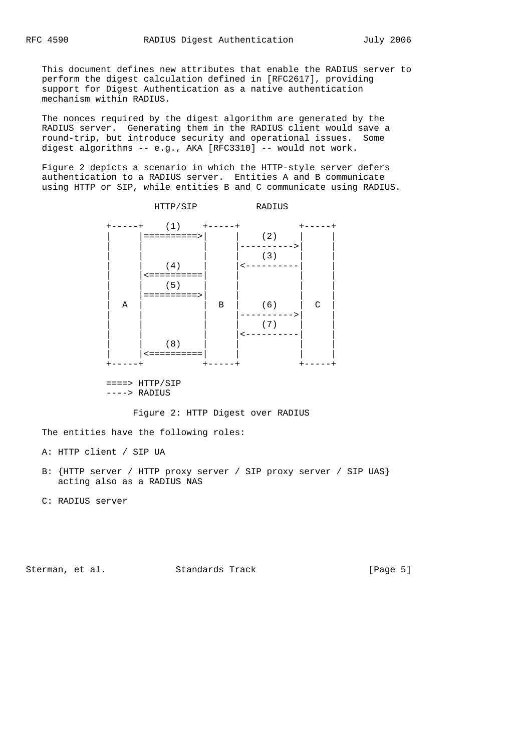This document defines new attributes that enable the RADIUS server to perform the digest calculation defined in [RFC2617], providing support for Digest Authentication as a native authentication mechanism within RADIUS.

 The nonces required by the digest algorithm are generated by the RADIUS server. Generating them in the RADIUS client would save a round-trip, but introduce security and operational issues. Some digest algorithms -- e.g., AKA [RFC3310] -- would not work.

 Figure 2 depicts a scenario in which the HTTP-style server defers authentication to a RADIUS server. Entities A and B communicate using HTTP or SIP, while entities B and C communicate using RADIUS.



 ====> HTTP/SIP ----> RADIUS

Figure 2: HTTP Digest over RADIUS

The entities have the following roles:

A: HTTP client / SIP UA

 B: {HTTP server / HTTP proxy server / SIP proxy server / SIP UAS} acting also as a RADIUS NAS

C: RADIUS server

Sterman, et al. Standards Track [Page 5]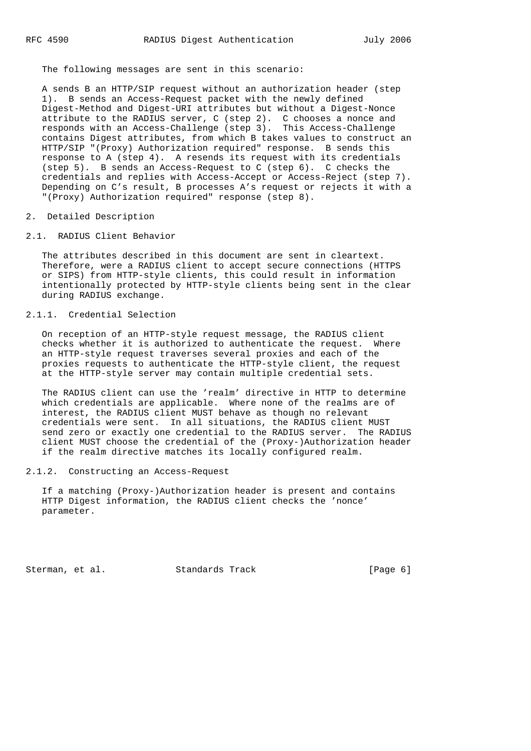The following messages are sent in this scenario:

 A sends B an HTTP/SIP request without an authorization header (step 1). B sends an Access-Request packet with the newly defined Digest-Method and Digest-URI attributes but without a Digest-Nonce attribute to the RADIUS server, C (step 2). C chooses a nonce and responds with an Access-Challenge (step 3). This Access-Challenge contains Digest attributes, from which B takes values to construct an HTTP/SIP "(Proxy) Authorization required" response. B sends this response to A (step 4). A resends its request with its credentials (step 5). B sends an Access-Request to C (step 6). C checks the credentials and replies with Access-Accept or Access-Reject (step 7). Depending on C's result, B processes A's request or rejects it with a "(Proxy) Authorization required" response (step 8).

- 2. Detailed Description
- 2.1. RADIUS Client Behavior

 The attributes described in this document are sent in cleartext. Therefore, were a RADIUS client to accept secure connections (HTTPS or SIPS) from HTTP-style clients, this could result in information intentionally protected by HTTP-style clients being sent in the clear during RADIUS exchange.

## 2.1.1. Credential Selection

 On reception of an HTTP-style request message, the RADIUS client checks whether it is authorized to authenticate the request. Where an HTTP-style request traverses several proxies and each of the proxies requests to authenticate the HTTP-style client, the request at the HTTP-style server may contain multiple credential sets.

 The RADIUS client can use the 'realm' directive in HTTP to determine which credentials are applicable. Where none of the realms are of interest, the RADIUS client MUST behave as though no relevant credentials were sent. In all situations, the RADIUS client MUST send zero or exactly one credential to the RADIUS server. The RADIUS client MUST choose the credential of the (Proxy-)Authorization header if the realm directive matches its locally configured realm.

## 2.1.2. Constructing an Access-Request

 If a matching (Proxy-)Authorization header is present and contains HTTP Digest information, the RADIUS client checks the 'nonce' parameter.

Sterman, et al. Standards Track [Page 6]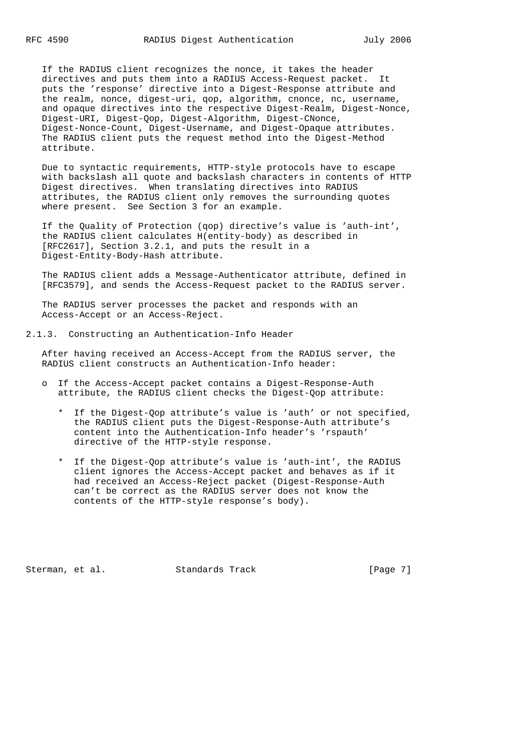If the RADIUS client recognizes the nonce, it takes the header directives and puts them into a RADIUS Access-Request packet. It puts the 'response' directive into a Digest-Response attribute and the realm, nonce, digest-uri, qop, algorithm, cnonce, nc, username, and opaque directives into the respective Digest-Realm, Digest-Nonce, Digest-URI, Digest-Qop, Digest-Algorithm, Digest-CNonce, Digest-Nonce-Count, Digest-Username, and Digest-Opaque attributes. The RADIUS client puts the request method into the Digest-Method attribute.

 Due to syntactic requirements, HTTP-style protocols have to escape with backslash all quote and backslash characters in contents of HTTP Digest directives. When translating directives into RADIUS attributes, the RADIUS client only removes the surrounding quotes where present. See Section 3 for an example.

 If the Quality of Protection (qop) directive's value is 'auth-int', the RADIUS client calculates H(entity-body) as described in [RFC2617], Section 3.2.1, and puts the result in a Digest-Entity-Body-Hash attribute.

 The RADIUS client adds a Message-Authenticator attribute, defined in [RFC3579], and sends the Access-Request packet to the RADIUS server.

 The RADIUS server processes the packet and responds with an Access-Accept or an Access-Reject.

2.1.3. Constructing an Authentication-Info Header

 After having received an Access-Accept from the RADIUS server, the RADIUS client constructs an Authentication-Info header:

- o If the Access-Accept packet contains a Digest-Response-Auth attribute, the RADIUS client checks the Digest-Qop attribute:
	- \* If the Digest-Qop attribute's value is 'auth' or not specified, the RADIUS client puts the Digest-Response-Auth attribute's content into the Authentication-Info header's 'rspauth' directive of the HTTP-style response.
	- \* If the Digest-Qop attribute's value is 'auth-int', the RADIUS client ignores the Access-Accept packet and behaves as if it had received an Access-Reject packet (Digest-Response-Auth can't be correct as the RADIUS server does not know the contents of the HTTP-style response's body).

Sterman, et al. Standards Track [Page 7]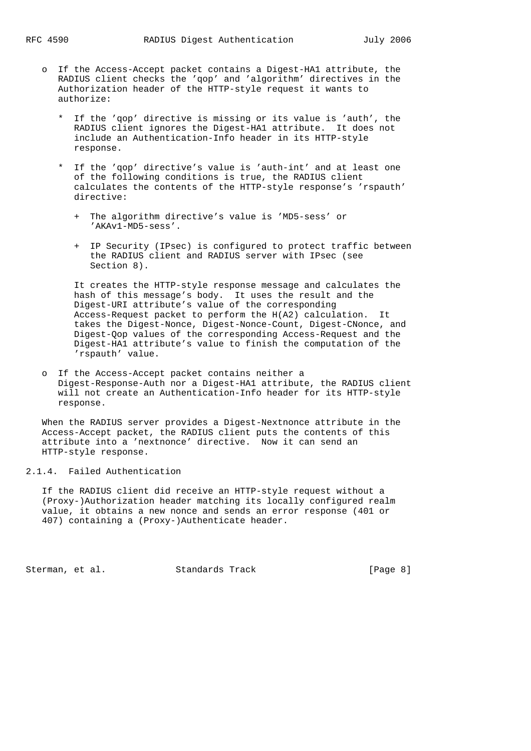- o If the Access-Accept packet contains a Digest-HA1 attribute, the RADIUS client checks the 'qop' and 'algorithm' directives in the Authorization header of the HTTP-style request it wants to authorize:
	- If the 'gop' directive is missing or its value is 'auth', the RADIUS client ignores the Digest-HA1 attribute. It does not include an Authentication-Info header in its HTTP-style response.
	- \* If the 'qop' directive's value is 'auth-int' and at least one of the following conditions is true, the RADIUS client calculates the contents of the HTTP-style response's 'rspauth' directive:
		- + The algorithm directive's value is 'MD5-sess' or 'AKAv1-MD5-sess'.
		- + IP Security (IPsec) is configured to protect traffic between the RADIUS client and RADIUS server with IPsec (see Section 8).

 It creates the HTTP-style response message and calculates the hash of this message's body. It uses the result and the Digest-URI attribute's value of the corresponding Access-Request packet to perform the H(A2) calculation. It takes the Digest-Nonce, Digest-Nonce-Count, Digest-CNonce, and Digest-Qop values of the corresponding Access-Request and the Digest-HA1 attribute's value to finish the computation of the 'rspauth' value.

 o If the Access-Accept packet contains neither a Digest-Response-Auth nor a Digest-HA1 attribute, the RADIUS client will not create an Authentication-Info header for its HTTP-style response.

 When the RADIUS server provides a Digest-Nextnonce attribute in the Access-Accept packet, the RADIUS client puts the contents of this attribute into a 'nextnonce' directive. Now it can send an HTTP-style response.

## 2.1.4. Failed Authentication

 If the RADIUS client did receive an HTTP-style request without a (Proxy-)Authorization header matching its locally configured realm value, it obtains a new nonce and sends an error response (401 or 407) containing a (Proxy-)Authenticate header.

Sterman, et al. Standards Track [Page 8]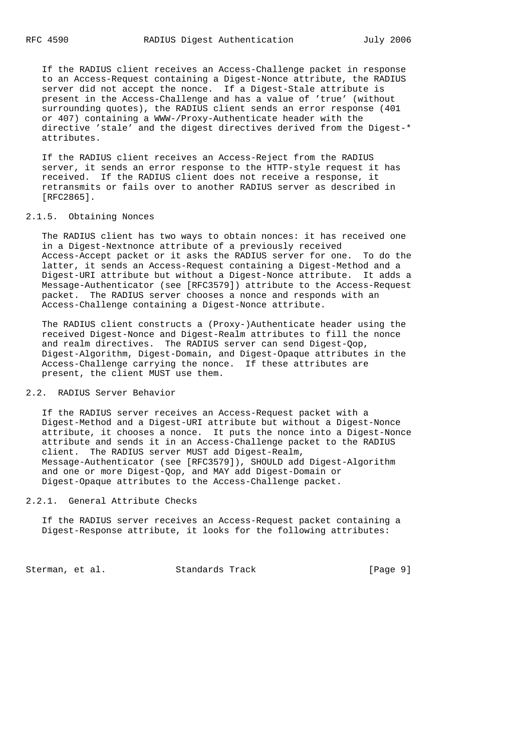If the RADIUS client receives an Access-Challenge packet in response to an Access-Request containing a Digest-Nonce attribute, the RADIUS server did not accept the nonce. If a Digest-Stale attribute is present in the Access-Challenge and has a value of 'true' (without surrounding quotes), the RADIUS client sends an error response (401 or 407) containing a WWW-/Proxy-Authenticate header with the directive 'stale' and the digest directives derived from the Digest-\* attributes.

 If the RADIUS client receives an Access-Reject from the RADIUS server, it sends an error response to the HTTP-style request it has received. If the RADIUS client does not receive a response, it retransmits or fails over to another RADIUS server as described in [RFC2865].

## 2.1.5. Obtaining Nonces

 The RADIUS client has two ways to obtain nonces: it has received one in a Digest-Nextnonce attribute of a previously received Access-Accept packet or it asks the RADIUS server for one. To do the latter, it sends an Access-Request containing a Digest-Method and a Digest-URI attribute but without a Digest-Nonce attribute. It adds a Message-Authenticator (see [RFC3579]) attribute to the Access-Request packet. The RADIUS server chooses a nonce and responds with an Access-Challenge containing a Digest-Nonce attribute.

 The RADIUS client constructs a (Proxy-)Authenticate header using the received Digest-Nonce and Digest-Realm attributes to fill the nonce and realm directives. The RADIUS server can send Digest-Qop, Digest-Algorithm, Digest-Domain, and Digest-Opaque attributes in the Access-Challenge carrying the nonce. If these attributes are present, the client MUST use them.

## 2.2. RADIUS Server Behavior

 If the RADIUS server receives an Access-Request packet with a Digest-Method and a Digest-URI attribute but without a Digest-Nonce attribute, it chooses a nonce. It puts the nonce into a Digest-Nonce attribute and sends it in an Access-Challenge packet to the RADIUS client. The RADIUS server MUST add Digest-Realm, Message-Authenticator (see [RFC3579]), SHOULD add Digest-Algorithm and one or more Digest-Qop, and MAY add Digest-Domain or Digest-Opaque attributes to the Access-Challenge packet.

## 2.2.1. General Attribute Checks

 If the RADIUS server receives an Access-Request packet containing a Digest-Response attribute, it looks for the following attributes:

Sterman, et al. Standards Track [Page 9]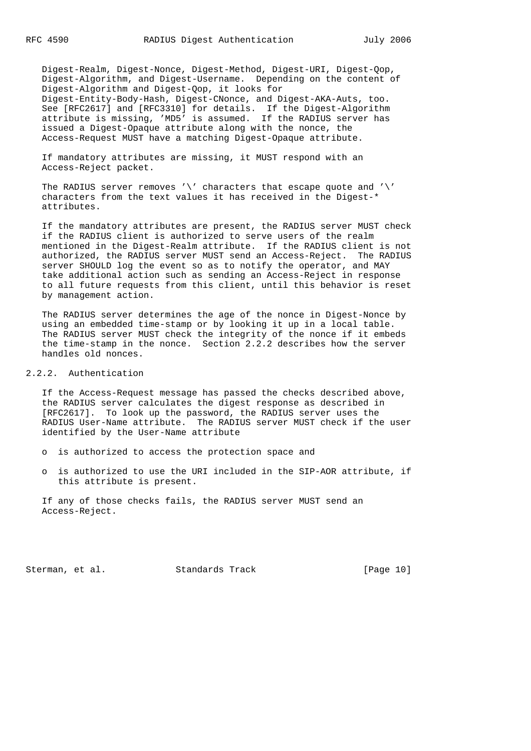Digest-Realm, Digest-Nonce, Digest-Method, Digest-URI, Digest-Qop, Digest-Algorithm, and Digest-Username. Depending on the content of Digest-Algorithm and Digest-Qop, it looks for Digest-Entity-Body-Hash, Digest-CNonce, and Digest-AKA-Auts, too. See [RFC2617] and [RFC3310] for details. If the Digest-Algorithm attribute is missing, 'MD5' is assumed. If the RADIUS server has issued a Digest-Opaque attribute along with the nonce, the Access-Request MUST have a matching Digest-Opaque attribute.

 If mandatory attributes are missing, it MUST respond with an Access-Reject packet.

 The RADIUS server removes '\' characters that escape quote and '\' characters from the text values it has received in the Digest-\* attributes.

 If the mandatory attributes are present, the RADIUS server MUST check if the RADIUS client is authorized to serve users of the realm mentioned in the Digest-Realm attribute. If the RADIUS client is not authorized, the RADIUS server MUST send an Access-Reject. The RADIUS server SHOULD log the event so as to notify the operator, and MAY take additional action such as sending an Access-Reject in response to all future requests from this client, until this behavior is reset by management action.

 The RADIUS server determines the age of the nonce in Digest-Nonce by using an embedded time-stamp or by looking it up in a local table. The RADIUS server MUST check the integrity of the nonce if it embeds the time-stamp in the nonce. Section 2.2.2 describes how the server handles old nonces.

2.2.2. Authentication

 If the Access-Request message has passed the checks described above, the RADIUS server calculates the digest response as described in [RFC2617]. To look up the password, the RADIUS server uses the RADIUS User-Name attribute. The RADIUS server MUST check if the user identified by the User-Name attribute

- o is authorized to access the protection space and
- o is authorized to use the URI included in the SIP-AOR attribute, if this attribute is present.

 If any of those checks fails, the RADIUS server MUST send an Access-Reject.

Sterman, et al. Standards Track [Page 10]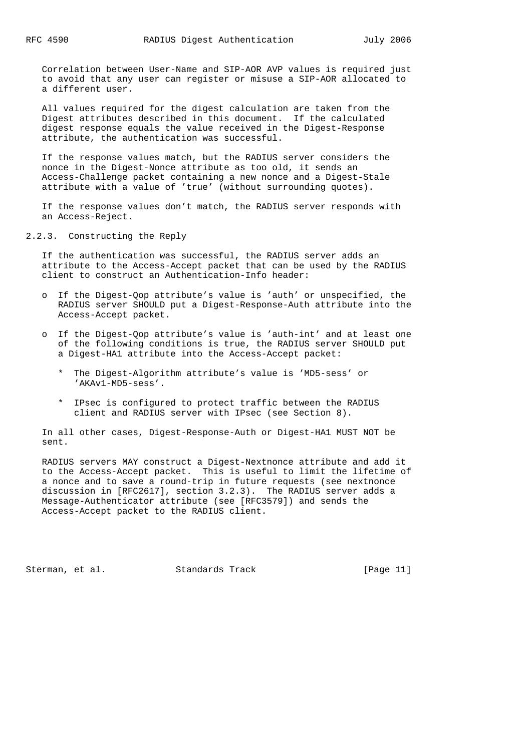Correlation between User-Name and SIP-AOR AVP values is required just to avoid that any user can register or misuse a SIP-AOR allocated to a different user.

 All values required for the digest calculation are taken from the Digest attributes described in this document. If the calculated digest response equals the value received in the Digest-Response attribute, the authentication was successful.

 If the response values match, but the RADIUS server considers the nonce in the Digest-Nonce attribute as too old, it sends an Access-Challenge packet containing a new nonce and a Digest-Stale attribute with a value of 'true' (without surrounding quotes).

 If the response values don't match, the RADIUS server responds with an Access-Reject.

2.2.3. Constructing the Reply

 If the authentication was successful, the RADIUS server adds an attribute to the Access-Accept packet that can be used by the RADIUS client to construct an Authentication-Info header:

- o If the Digest-Qop attribute's value is 'auth' or unspecified, the RADIUS server SHOULD put a Digest-Response-Auth attribute into the Access-Accept packet.
- o If the Digest-Qop attribute's value is 'auth-int' and at least one of the following conditions is true, the RADIUS server SHOULD put a Digest-HA1 attribute into the Access-Accept packet:
	- \* The Digest-Algorithm attribute's value is 'MD5-sess' or 'AKAv1-MD5-sess'.
	- \* IPsec is configured to protect traffic between the RADIUS client and RADIUS server with IPsec (see Section 8).

 In all other cases, Digest-Response-Auth or Digest-HA1 MUST NOT be sent.

 RADIUS servers MAY construct a Digest-Nextnonce attribute and add it to the Access-Accept packet. This is useful to limit the lifetime of a nonce and to save a round-trip in future requests (see nextnonce discussion in [RFC2617], section 3.2.3). The RADIUS server adds a Message-Authenticator attribute (see [RFC3579]) and sends the Access-Accept packet to the RADIUS client.

Sterman, et al. Standards Track [Page 11]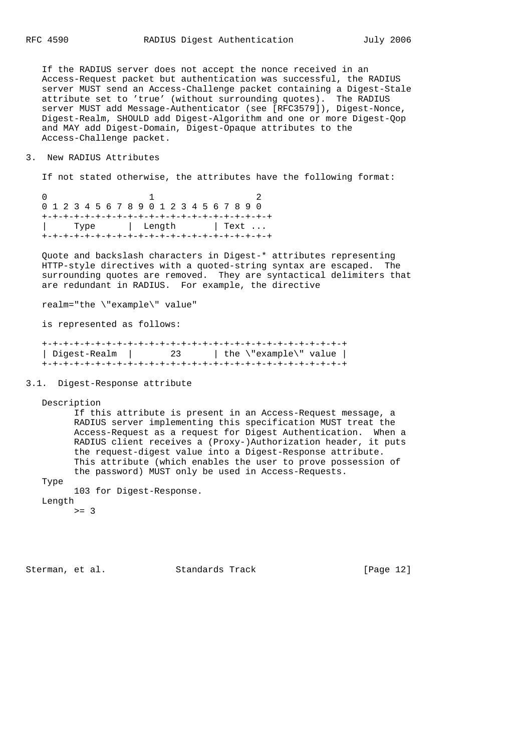If the RADIUS server does not accept the nonce received in an Access-Request packet but authentication was successful, the RADIUS server MUST send an Access-Challenge packet containing a Digest-Stale attribute set to 'true' (without surrounding quotes). The RADIUS server MUST add Message-Authenticator (see [RFC3579]), Digest-Nonce, Digest-Realm, SHOULD add Digest-Algorithm and one or more Digest-Qop and MAY add Digest-Domain, Digest-Opaque attributes to the Access-Challenge packet.

## 3. New RADIUS Attributes

If not stated otherwise, the attributes have the following format:

 $0$  1 2 0 1 2 3 4 5 6 7 8 9 0 1 2 3 4 5 6 7 8 9 0 +-+-+-+-+-+-+-+-+-+-+-+-+-+-+-+-+-+-+-+-+-+ | Type | Length | Text ... +-+-+-+-+-+-+-+-+-+-+-+-+-+-+-+-+-+-+-+-+-+

 Quote and backslash characters in Digest-\* attributes representing HTTP-style directives with a quoted-string syntax are escaped. The surrounding quotes are removed. They are syntactical delimiters that are redundant in RADIUS. For example, the directive

realm="the \"example\" value"

is represented as follows:

| Digest-Realm | 23 | the \"example\" value |  |  |  |  |  |  |
|--------------|----|-----------------------|--|--|--|--|--|--|
|              |    |                       |  |  |  |  |  |  |

## 3.1. Digest-Response attribute

Description

 If this attribute is present in an Access-Request message, a RADIUS server implementing this specification MUST treat the Access-Request as a request for Digest Authentication. When a RADIUS client receives a (Proxy-)Authorization header, it puts the request-digest value into a Digest-Response attribute. This attribute (which enables the user to prove possession of the password) MUST only be used in Access-Requests.

Type

103 for Digest-Response.

Length

 $>= 3$ 

Sterman, et al. Standards Track [Page 12]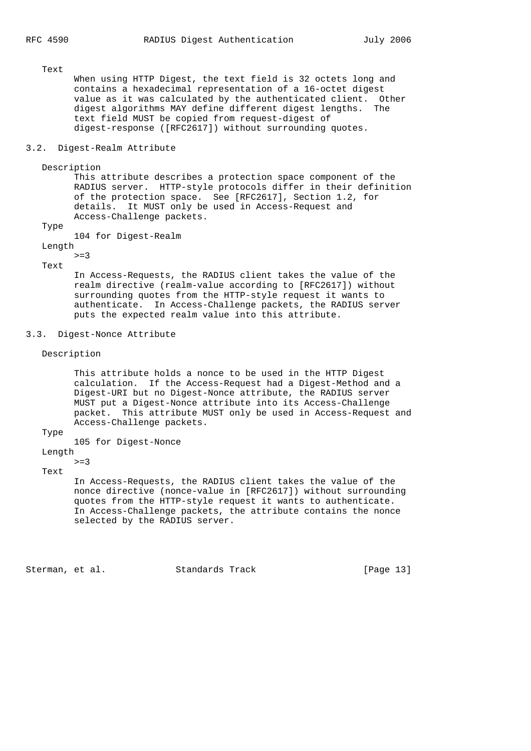Text

 When using HTTP Digest, the text field is 32 octets long and contains a hexadecimal representation of a 16-octet digest value as it was calculated by the authenticated client. Other digest algorithms MAY define different digest lengths. The text field MUST be copied from request-digest of digest-response ([RFC2617]) without surrounding quotes.

## 3.2. Digest-Realm Attribute

Description

 This attribute describes a protection space component of the RADIUS server. HTTP-style protocols differ in their definition of the protection space. See [RFC2617], Section 1.2, for details. It MUST only be used in Access-Request and Access-Challenge packets.

Type

104 for Digest-Realm

 Length  $>=3$ 

Text

 In Access-Requests, the RADIUS client takes the value of the realm directive (realm-value according to [RFC2617]) without surrounding quotes from the HTTP-style request it wants to authenticate. In Access-Challenge packets, the RADIUS server puts the expected realm value into this attribute.

### 3.3. Digest-Nonce Attribute

Description

 This attribute holds a nonce to be used in the HTTP Digest calculation. If the Access-Request had a Digest-Method and a Digest-URI but no Digest-Nonce attribute, the RADIUS server MUST put a Digest-Nonce attribute into its Access-Challenge packet. This attribute MUST only be used in Access-Request and Access-Challenge packets.

#### Type

105 for Digest-Nonce

Length

 $> = 3$ 

Text

 In Access-Requests, the RADIUS client takes the value of the nonce directive (nonce-value in [RFC2617]) without surrounding quotes from the HTTP-style request it wants to authenticate. In Access-Challenge packets, the attribute contains the nonce selected by the RADIUS server.

Sterman, et al. Standards Track [Page 13]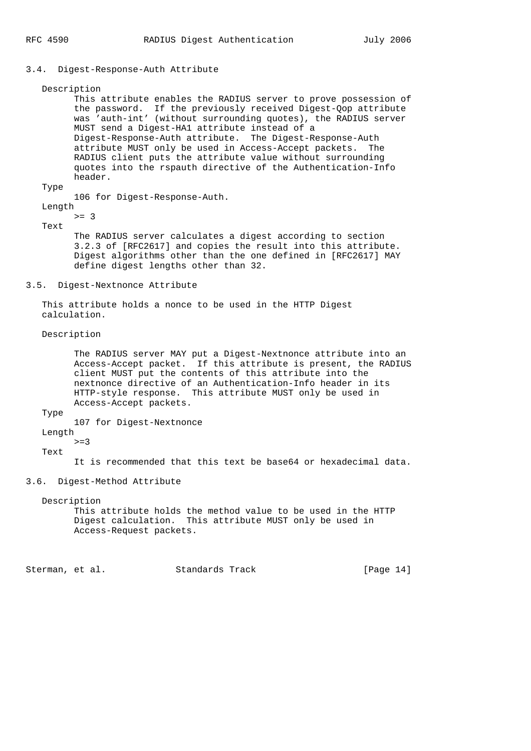#### 3.4. Digest-Response-Auth Attribute

 Description This attribute enables the RADIUS server to prove possession of the password. If the previously received Digest-Qop attribute was 'auth-int' (without surrounding quotes), the RADIUS server MUST send a Digest-HA1 attribute instead of a Digest-Response-Auth attribute. The Digest-Response-Auth attribute MUST only be used in Access-Accept packets. The RADIUS client puts the attribute value without surrounding quotes into the rspauth directive of the Authentication-Info header. Type 106 for Digest-Response-Auth. Length >= 3 Text The RADIUS server calculates a digest according to section 3.2.3 of [RFC2617] and copies the result into this attribute. Digest algorithms other than the one defined in [RFC2617] MAY define digest lengths other than 32. 3.5. Digest-Nextnonce Attribute This attribute holds a nonce to be used in the HTTP Digest calculation. Description The RADIUS server MAY put a Digest-Nextnonce attribute into an Access-Accept packet. If this attribute is present, the RADIUS client MUST put the contents of this attribute into the nextnonce directive of an Authentication-Info header in its HTTP-style response. This attribute MUST only be used in Access-Accept packets. Type 107 for Digest-Nextnonce Length  $>=3$  Text It is recommended that this text be base64 or hexadecimal data. 3.6. Digest-Method Attribute Description This attribute holds the method value to be used in the HTTP Digest calculation. This attribute MUST only be used in Access-Request packets. Sterman, et al. Standards Track [Page 14]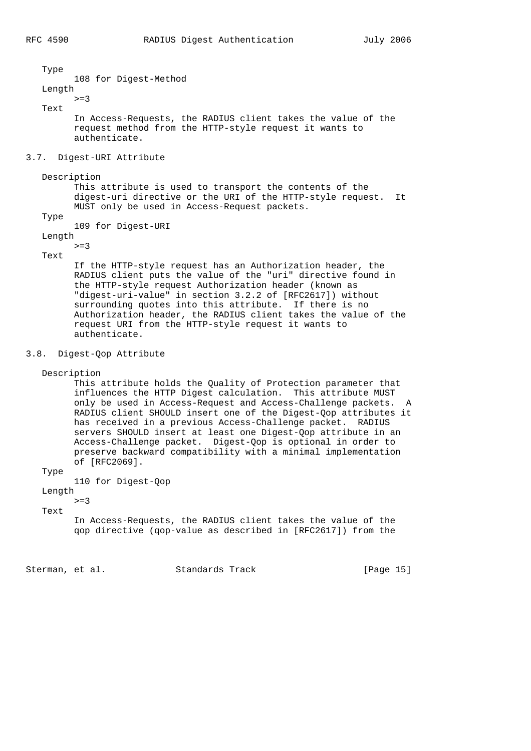Type 108 for Digest-Method Length  $>=$ 3 Text In Access-Requests, the RADIUS client takes the value of the request method from the HTTP-style request it wants to authenticate. 3.7. Digest-URI Attribute Description This attribute is used to transport the contents of the digest-uri directive or the URI of the HTTP-style request. It MUST only be used in Access-Request packets. Type 109 for Digest-URI Length  $>=3$  Text If the HTTP-style request has an Authorization header, the RADIUS client puts the value of the "uri" directive found in the HTTP-style request Authorization header (known as "digest-uri-value" in section 3.2.2 of [RFC2617]) without surrounding quotes into this attribute. If there is no Authorization header, the RADIUS client takes the value of the request URI from the HTTP-style request it wants to authenticate. 3.8. Digest-Qop Attribute Description This attribute holds the Quality of Protection parameter that influences the HTTP Digest calculation. This attribute MUST only be used in Access-Request and Access-Challenge packets. A RADIUS client SHOULD insert one of the Digest-Qop attributes it has received in a previous Access-Challenge packet. RADIUS servers SHOULD insert at least one Digest-Qop attribute in an Access-Challenge packet. Digest-Qop is optional in order to preserve backward compatibility with a minimal implementation of [RFC2069]. Type 110 for Digest-Qop Length

# Text

 $> = 3$ 

 In Access-Requests, the RADIUS client takes the value of the qop directive (qop-value as described in [RFC2617]) from the

Sterman, et al. Standards Track [Page 15]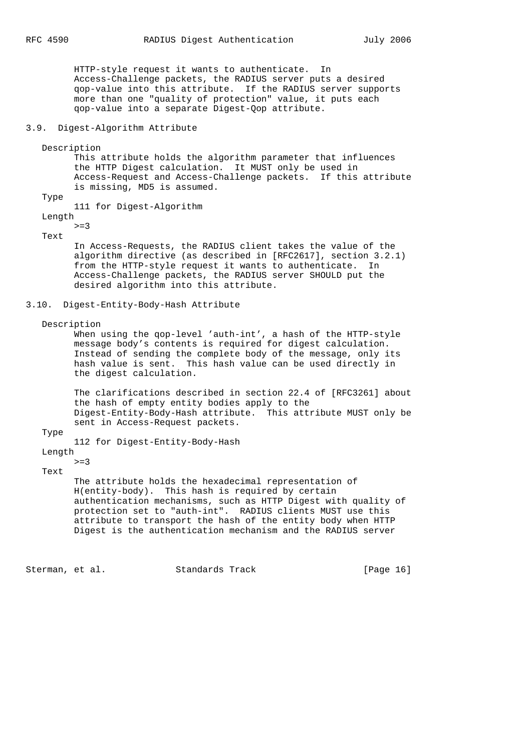HTTP-style request it wants to authenticate. In Access-Challenge packets, the RADIUS server puts a desired qop-value into this attribute. If the RADIUS server supports more than one "quality of protection" value, it puts each qop-value into a separate Digest-Qop attribute.

### 3.9. Digest-Algorithm Attribute

Description

 This attribute holds the algorithm parameter that influences the HTTP Digest calculation. It MUST only be used in Access-Request and Access-Challenge packets. If this attribute is missing, MD5 is assumed.

Type

111 for Digest-Algorithm

 Length  $>=$ 3

Text

 In Access-Requests, the RADIUS client takes the value of the algorithm directive (as described in [RFC2617], section 3.2.1) from the HTTP-style request it wants to authenticate. In Access-Challenge packets, the RADIUS server SHOULD put the desired algorithm into this attribute.

#### 3.10. Digest-Entity-Body-Hash Attribute

Description

 When using the qop-level 'auth-int', a hash of the HTTP-style message body's contents is required for digest calculation. Instead of sending the complete body of the message, only its hash value is sent. This hash value can be used directly in the digest calculation.

 The clarifications described in section 22.4 of [RFC3261] about the hash of empty entity bodies apply to the Digest-Entity-Body-Hash attribute. This attribute MUST only be sent in Access-Request packets.

#### Type

112 for Digest-Entity-Body-Hash

 Length  $>=$ 3

Text

 The attribute holds the hexadecimal representation of H(entity-body). This hash is required by certain authentication mechanisms, such as HTTP Digest with quality of protection set to "auth-int". RADIUS clients MUST use this attribute to transport the hash of the entity body when HTTP Digest is the authentication mechanism and the RADIUS server

Sterman, et al. Standards Track [Page 16]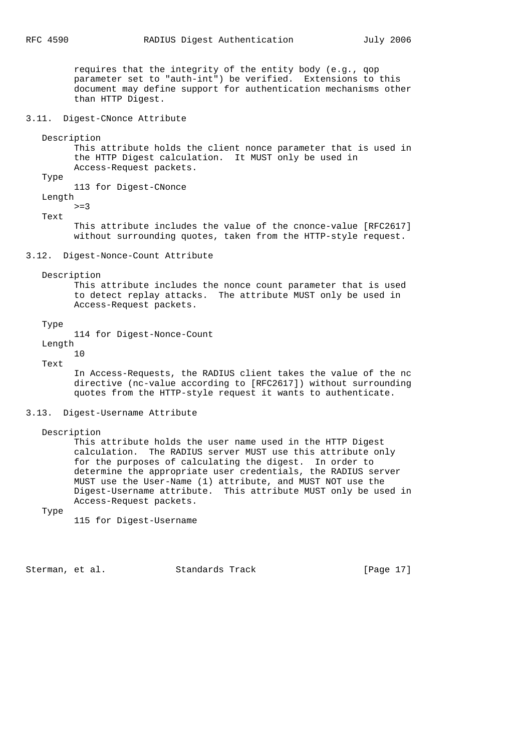requires that the integrity of the entity body (e.g., qop parameter set to "auth-int") be verified. Extensions to this document may define support for authentication mechanisms other than HTTP Digest.

3.11. Digest-CNonce Attribute

Description

 This attribute holds the client nonce parameter that is used in the HTTP Digest calculation. It MUST only be used in Access-Request packets.

Type

113 for Digest-CNonce

 Length  $>=$ 3

Text

 This attribute includes the value of the cnonce-value [RFC2617] without surrounding quotes, taken from the HTTP-style request.

3.12. Digest-Nonce-Count Attribute

Description

 This attribute includes the nonce count parameter that is used to detect replay attacks. The attribute MUST only be used in Access-Request packets.

#### Type

114 for Digest-Nonce-Count

Length

 10 Text

 In Access-Requests, the RADIUS client takes the value of the nc directive (nc-value according to [RFC2617]) without surrounding quotes from the HTTP-style request it wants to authenticate.

## 3.13. Digest-Username Attribute

Description

 This attribute holds the user name used in the HTTP Digest calculation. The RADIUS server MUST use this attribute only for the purposes of calculating the digest. In order to determine the appropriate user credentials, the RADIUS server MUST use the User-Name (1) attribute, and MUST NOT use the Digest-Username attribute. This attribute MUST only be used in Access-Request packets.

Type

115 for Digest-Username

Sterman, et al. Standards Track [Page 17]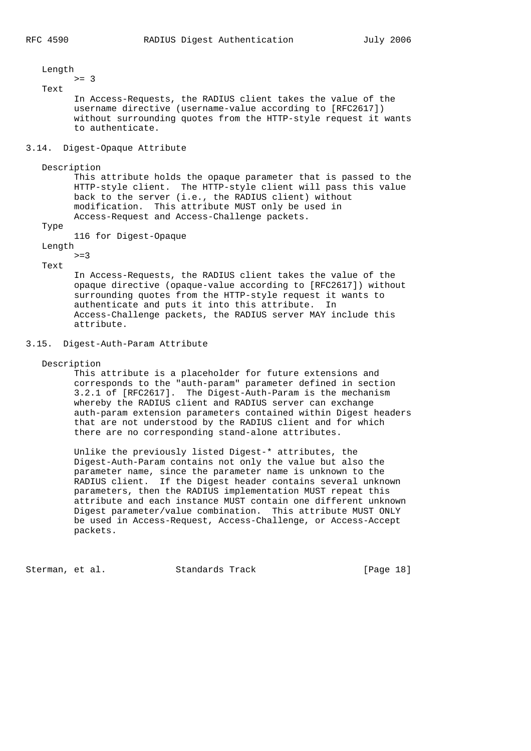Length >= 3 Text In Access-Requests, the RADIUS client takes the value of the username directive (username-value according to [RFC2617]) without surrounding quotes from the HTTP-style request it wants to authenticate. 3.14. Digest-Opaque Attribute Description This attribute holds the opaque parameter that is passed to the HTTP-style client. The HTTP-style client will pass this value back to the server (i.e., the RADIUS client) without modification. This attribute MUST only be used in Access-Request and Access-Challenge packets. Type 116 for Digest-Opaque Length  $>=3$  Text In Access-Requests, the RADIUS client takes the value of the opaque directive (opaque-value according to [RFC2617]) without surrounding quotes from the HTTP-style request it wants to authenticate and puts it into this attribute. In Access-Challenge packets, the RADIUS server MAY include this attribute. 3.15. Digest-Auth-Param Attribute Description

 This attribute is a placeholder for future extensions and corresponds to the "auth-param" parameter defined in section 3.2.1 of [RFC2617]. The Digest-Auth-Param is the mechanism whereby the RADIUS client and RADIUS server can exchange auth-param extension parameters contained within Digest headers that are not understood by the RADIUS client and for which there are no corresponding stand-alone attributes.

 Unlike the previously listed Digest-\* attributes, the Digest-Auth-Param contains not only the value but also the parameter name, since the parameter name is unknown to the RADIUS client. If the Digest header contains several unknown parameters, then the RADIUS implementation MUST repeat this attribute and each instance MUST contain one different unknown Digest parameter/value combination. This attribute MUST ONLY be used in Access-Request, Access-Challenge, or Access-Accept packets.

Sterman, et al. Standards Track [Page 18]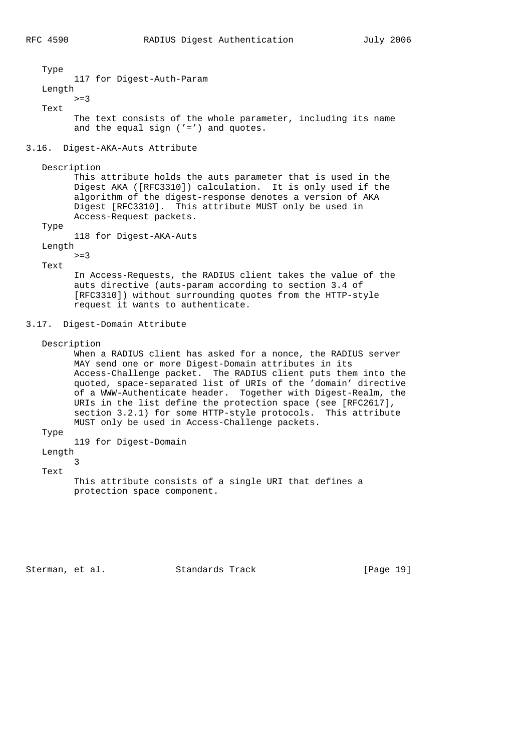Type 117 for Digest-Auth-Param Length  $>=$ 3 Text The text consists of the whole parameter, including its name and the equal sign ('=') and quotes.

## 3.16. Digest-AKA-Auts Attribute

Description

 This attribute holds the auts parameter that is used in the Digest AKA ([RFC3310]) calculation. It is only used if the algorithm of the digest-response denotes a version of AKA Digest [RFC3310]. This attribute MUST only be used in Access-Request packets.

Type

118 for Digest-AKA-Auts

 Length  $>=3$ 

Text

 In Access-Requests, the RADIUS client takes the value of the auts directive (auts-param according to section 3.4 of [RFC3310]) without surrounding quotes from the HTTP-style request it wants to authenticate.

#### 3.17. Digest-Domain Attribute

Description

 When a RADIUS client has asked for a nonce, the RADIUS server MAY send one or more Digest-Domain attributes in its Access-Challenge packet. The RADIUS client puts them into the quoted, space-separated list of URIs of the 'domain' directive of a WWW-Authenticate header. Together with Digest-Realm, the URIs in the list define the protection space (see [RFC2617], section 3.2.1) for some HTTP-style protocols. This attribute MUST only be used in Access-Challenge packets.

Type

119 for Digest-Domain

Length

3

Text

 This attribute consists of a single URI that defines a protection space component.

Sterman, et al. Standards Track [Page 19]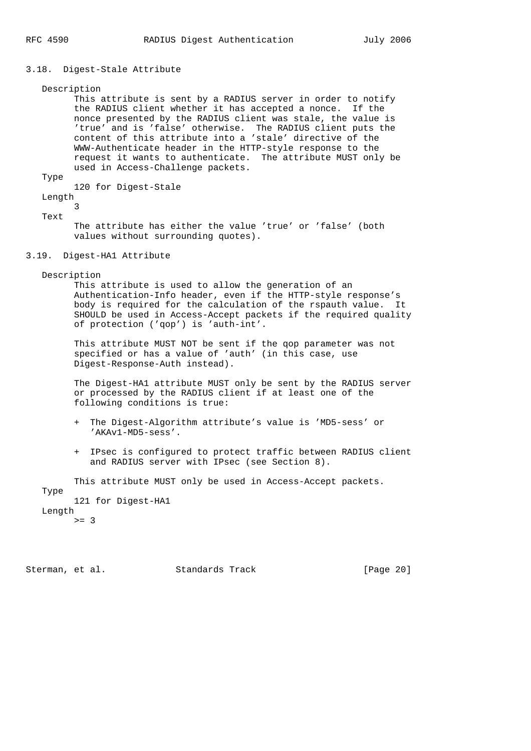#### 3.18. Digest-Stale Attribute

Description

 This attribute is sent by a RADIUS server in order to notify the RADIUS client whether it has accepted a nonce. If the nonce presented by the RADIUS client was stale, the value is 'true' and is 'false' otherwise. The RADIUS client puts the content of this attribute into a 'stale' directive of the WWW-Authenticate header in the HTTP-style response to the request it wants to authenticate. The attribute MUST only be used in Access-Challenge packets.

Type

120 for Digest-Stale

Length

 3 Text

> The attribute has either the value 'true' or 'false' (both values without surrounding quotes).

### 3.19. Digest-HA1 Attribute

Description

 This attribute is used to allow the generation of an Authentication-Info header, even if the HTTP-style response's body is required for the calculation of the rspauth value. It SHOULD be used in Access-Accept packets if the required quality of protection ('qop') is 'auth-int'.

 This attribute MUST NOT be sent if the qop parameter was not specified or has a value of 'auth' (in this case, use Digest-Response-Auth instead).

 The Digest-HA1 attribute MUST only be sent by the RADIUS server or processed by the RADIUS client if at least one of the following conditions is true:

- + The Digest-Algorithm attribute's value is 'MD5-sess' or 'AKAv1-MD5-sess'.
- + IPsec is configured to protect traffic between RADIUS client and RADIUS server with IPsec (see Section 8).

 This attribute MUST only be used in Access-Accept packets. Type 121 for Digest-HA1 Length  $>= 3$ 

Sterman, et al. Standards Track [Page 20]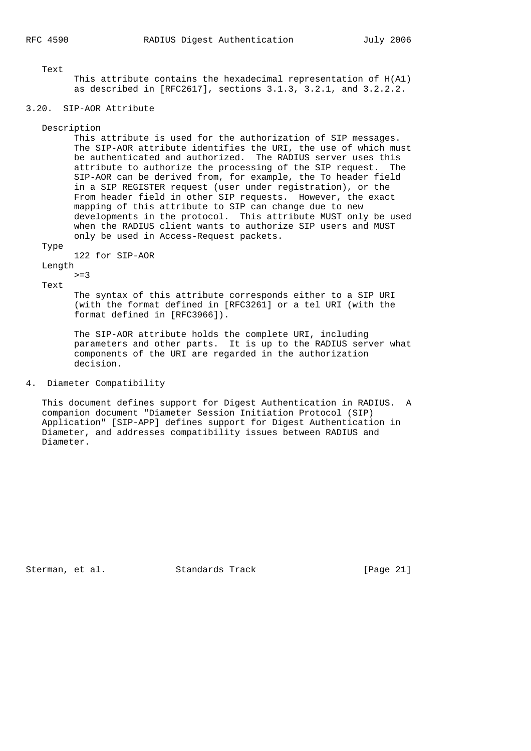Text

 This attribute contains the hexadecimal representation of H(A1) as described in [RFC2617], sections 3.1.3, 3.2.1, and 3.2.2.2.

## 3.20. SIP-AOR Attribute

#### Description

 This attribute is used for the authorization of SIP messages. The SIP-AOR attribute identifies the URI, the use of which must be authenticated and authorized. The RADIUS server uses this attribute to authorize the processing of the SIP request. The SIP-AOR can be derived from, for example, the To header field in a SIP REGISTER request (user under registration), or the From header field in other SIP requests. However, the exact mapping of this attribute to SIP can change due to new developments in the protocol. This attribute MUST only be used when the RADIUS client wants to authorize SIP users and MUST only be used in Access-Request packets.

#### Type

122 for SIP-AOR

Length

 $>=3$ Text

> The syntax of this attribute corresponds either to a SIP URI (with the format defined in [RFC3261] or a tel URI (with the format defined in [RFC3966]).

 The SIP-AOR attribute holds the complete URI, including parameters and other parts. It is up to the RADIUS server what components of the URI are regarded in the authorization decision.

### 4. Diameter Compatibility

 This document defines support for Digest Authentication in RADIUS. A companion document "Diameter Session Initiation Protocol (SIP) Application" [SIP-APP] defines support for Digest Authentication in Diameter, and addresses compatibility issues between RADIUS and Diameter.

Sterman, et al. Standards Track [Page 21]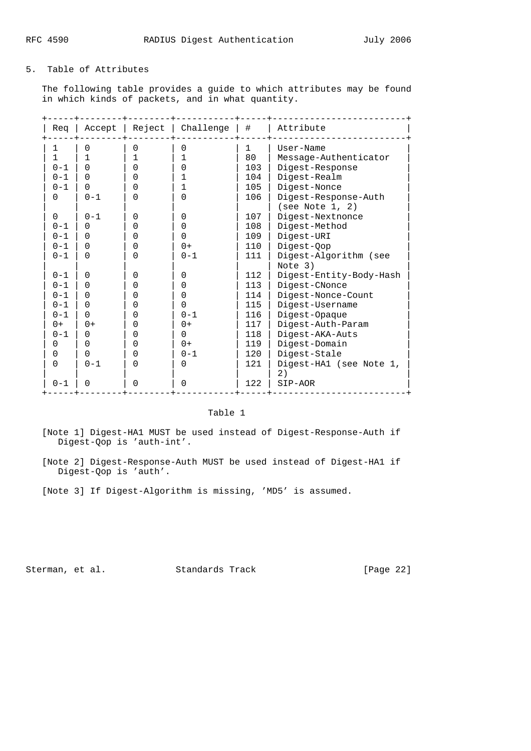## 5. Table of Attributes

 The following table provides a guide to which attributes may be found in which kinds of packets, and in what quantity.

| Rea      |          |   | Accept   Reject   Challenge | #            | Attribute               |
|----------|----------|---|-----------------------------|--------------|-------------------------|
| 1        | 0        | 0 | $\Omega$                    | $\mathbf{1}$ | User-Name               |
| 1        |          | 1 | 1                           | 80           | Message-Authenticator   |
| $0 - 1$  | $\Omega$ | 0 | 0                           | 103          | Digest-Response         |
| $0 - 1$  | $\Omega$ | U | 1                           | 104          | Digest-Realm            |
| $0 - 1$  | $\Omega$ | U | 1                           | 105          | Digest-Nonce            |
| $\Omega$ | $0 - 1$  | 0 | 0                           | 106          | Digest-Response-Auth    |
|          |          |   |                             |              | (see Note 1, 2)         |
| $\Omega$ | $0 - 1$  | 0 | $\Omega$                    | 107          | Digest-Nextnonce        |
| $0 - 1$  | $\Omega$ | 0 | 0                           | 108          | Digest-Method           |
| $0 - 1$  | $\Omega$ | U | $\Omega$                    | 109          | Digest-URI              |
| $0 - 1$  | $\Omega$ | 0 | $0+$                        | 110          | Digest-Qop              |
| $0 - 1$  | $\Omega$ | 0 | $0 - 1$                     | 111          | Digest-Algorithm (see   |
|          |          |   |                             |              | Note 3)                 |
| $0 - 1$  | $\Omega$ | 0 | $\Omega$                    | 112          | Digest-Entity-Body-Hash |
| $0 - 1$  | $\Omega$ | 0 | 0                           | 113          | Digest-CNonce           |
| $0 - 1$  | $\Omega$ | 0 | 0                           | 114          | Digest-Nonce-Count      |
| $0 - 1$  | $\Omega$ | 0 | 0                           | 115          | Digest-Username         |
| $0 - 1$  | $\Omega$ | 0 | $0 - 1$                     | 116          | Digest-Opaque           |
| $0+$     | $0+$     | 0 | $0+$                        | 117          | Digest-Auth-Param       |
| $0 - 1$  | $\Omega$ | 0 | $\Omega$                    | 118          | Digest-AKA-Auts         |
| 0        | 0        | 0 | $0+$                        | 119          | Digest-Domain           |
| 0        | 0        | O | $0 - 1$                     | 120          | Digest-Stale            |
| $\Omega$ | $0 - 1$  | 0 | $\Omega$                    | 121          | Digest-HA1 (see Note 1, |
|          |          |   |                             |              | 2)                      |
| $0 - 1$  | $\Omega$ | 0 | 0                           | 122          | SIP-AOR                 |

### Table 1

 [Note 1] Digest-HA1 MUST be used instead of Digest-Response-Auth if Digest-Qop is 'auth-int'.

 [Note 2] Digest-Response-Auth MUST be used instead of Digest-HA1 if Digest-Qop is 'auth'.

[Note 3] If Digest-Algorithm is missing, 'MD5' is assumed.

Sterman, et al. Standards Track [Page 22]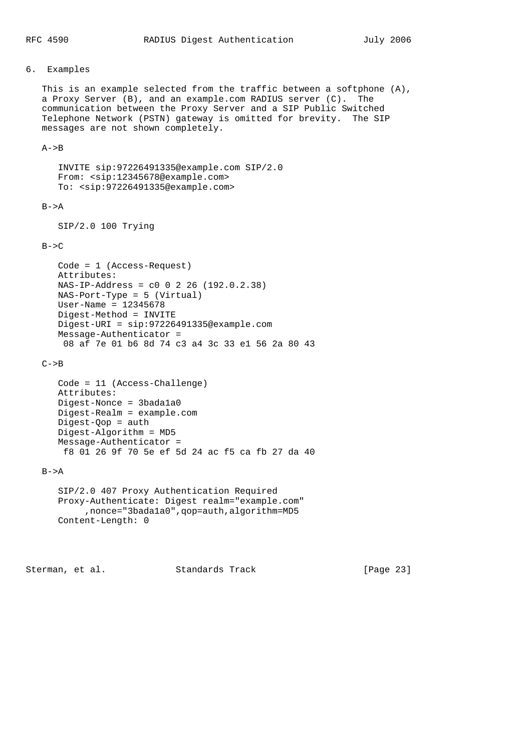## 6. Examples

 This is an example selected from the traffic between a softphone (A), a Proxy Server (B), and an example.com RADIUS server (C). The communication between the Proxy Server and a SIP Public Switched Telephone Network (PSTN) gateway is omitted for brevity. The SIP messages are not shown completely.

## $A->B$

 INVITE sip:97226491335@example.com SIP/2.0 From: <sip:12345678@example.com> To: <sip:97226491335@example.com>

## $B->A$

SIP/2.0 100 Trying

### $B->C$

```
 Code = 1 (Access-Request)
 Attributes:
 NAS-IP-Address = c0 0 2 26 (192.0.2.38)
 NAS-Port-Type = 5 (Virtual)
 User-Name = 12345678
 Digest-Method = INVITE
 Digest-URI = sip:97226491335@example.com
 Message-Authenticator =
 08 af 7e 01 b6 8d 74 c3 a4 3c 33 e1 56 2a 80 43
```
 $C->B$ 

```
 Code = 11 (Access-Challenge)
 Attributes:
 Digest-Nonce = 3bada1a0
 Digest-Realm = example.com
Digest-Qop = auth Digest-Algorithm = MD5
 Message-Authenticator =
 f8 01 26 9f 70 5e ef 5d 24 ac f5 ca fb 27 da 40
```
## $B->A$

```
 SIP/2.0 407 Proxy Authentication Required
 Proxy-Authenticate: Digest realm="example.com"
      ,nonce="3bada1a0",qop=auth,algorithm=MD5
 Content-Length: 0
```
Sterman, et al. Standards Track [Page 23]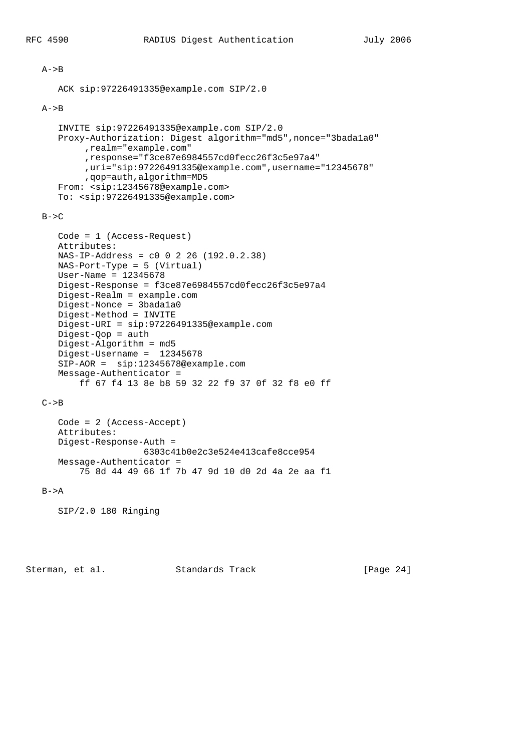#### $A->B$

```
 ACK sip:97226491335@example.com SIP/2.0
```
## $A->B$

```
 INVITE sip:97226491335@example.com SIP/2.0
 Proxy-Authorization: Digest algorithm="md5",nonce="3bada1a0"
      ,realm="example.com"
      ,response="f3ce87e6984557cd0fecc26f3c5e97a4"
      ,uri="sip:97226491335@example.com",username="12345678"
      ,qop=auth,algorithm=MD5
 From: <sip:12345678@example.com>
 To: <sip:97226491335@example.com>
```
## $B->C$

```
 Code = 1 (Access-Request)
 Attributes:
 NAS-IP-Address = c0 0 2 26 (192.0.2.38)
 NAS-Port-Type = 5 (Virtual)
 User-Name = 12345678
 Digest-Response = f3ce87e6984557cd0fecc26f3c5e97a4
 Digest-Realm = example.com
 Digest-Nonce = 3bada1a0
 Digest-Method = INVITE
 Digest-URI = sip:97226491335@example.com
 Digest-Qop = auth
 Digest-Algorithm = md5
 Digest-Username = 12345678
 SIP-AOR = sip:12345678@example.com
 Message-Authenticator =
     ff 67 f4 13 8e b8 59 32 22 f9 37 0f 32 f8 e0 ff
```
## $C->B$

```
 Code = 2 (Access-Accept)
 Attributes:
 Digest-Response-Auth =
                 6303c41b0e2c3e524e413cafe8cce954
 Message-Authenticator =
    75 8d 44 49 66 1f 7b 47 9d 10 d0 2d 4a 2e aa f1
```
## $B->A$

SIP/2.0 180 Ringing

Sterman, et al. Standards Track [Page 24]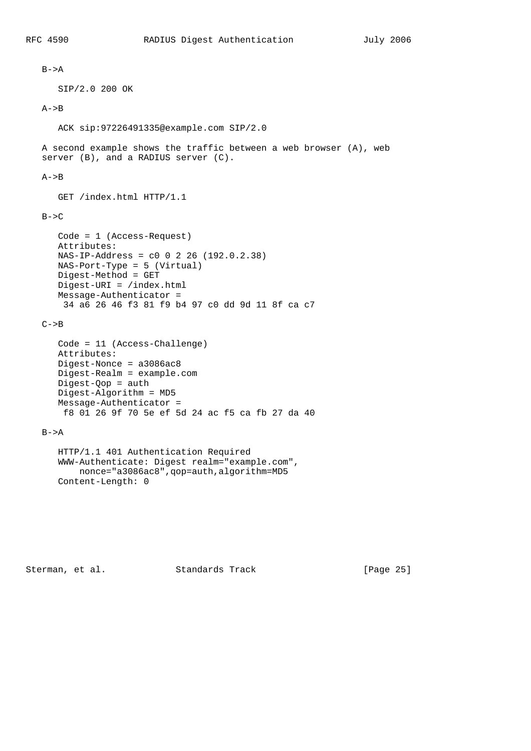```
B->A SIP/2.0 200 OK
A->B ACK sip:97226491335@example.com SIP/2.0
 A second example shows the traffic between a web browser (A), web
 server (B), and a RADIUS server (C).
A->B GET /index.html HTTP/1.1
B->C Code = 1 (Access-Request)
    Attributes:
    NAS-IP-Address = c0 0 2 26 (192.0.2.38)
    NAS-Port-Type = 5 (Virtual)
    Digest-Method = GET
    Digest-URI = /index.html
    Message-Authenticator =
     34 a6 26 46 f3 81 f9 b4 97 c0 dd 9d 11 8f ca c7
C->B Code = 11 (Access-Challenge)
    Attributes:
    Digest-Nonce = a3086ac8
    Digest-Realm = example.com
    Digest-Qop = auth
    Digest-Algorithm = MD5
    Message-Authenticator =
     f8 01 26 9f 70 5e ef 5d 24 ac f5 ca fb 27 da 40
B->A HTTP/1.1 401 Authentication Required
    WWW-Authenticate: Digest realm="example.com",
       nonce="a3086ac8",qop=auth,algorithm=MD5
    Content-Length: 0
```
Sterman, et al. Standards Track [Page 25]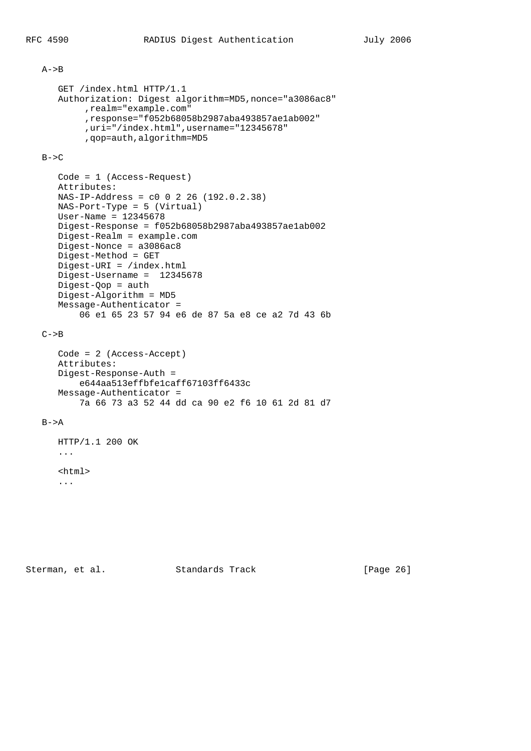#### $A->B$

```
 GET /index.html HTTP/1.1
 Authorization: Digest algorithm=MD5,nonce="a3086ac8"
      ,realm="example.com"
      ,response="f052b68058b2987aba493857ae1ab002"
      ,uri="/index.html",username="12345678"
      ,qop=auth,algorithm=MD5
```
## $B->C$

```
 Code = 1 (Access-Request)
 Attributes:
 NAS-IP-Address = c0 0 2 26 (192.0.2.38)
 NAS-Port-Type = 5 (Virtual)
 User-Name = 12345678
 Digest-Response = f052b68058b2987aba493857ae1ab002
 Digest-Realm = example.com
 Digest-Nonce = a3086ac8
 Digest-Method = GET
 Digest-URI = /index.html
 Digest-Username = 12345678
 Digest-Qop = auth
 Digest-Algorithm = MD5
 Message-Authenticator =
     06 e1 65 23 57 94 e6 de 87 5a e8 ce a2 7d 43 6b
```
## $C->B$

```
 Code = 2 (Access-Accept)
 Attributes:
 Digest-Response-Auth =
    e644aa513effbfe1caff67103ff6433c
 Message-Authenticator =
     7a 66 73 a3 52 44 dd ca 90 e2 f6 10 61 2d 81 d7
```
## $B->A$

 HTTP/1.1 200 OK ... <html> ...

Sterman, et al. Standards Track [Page 26]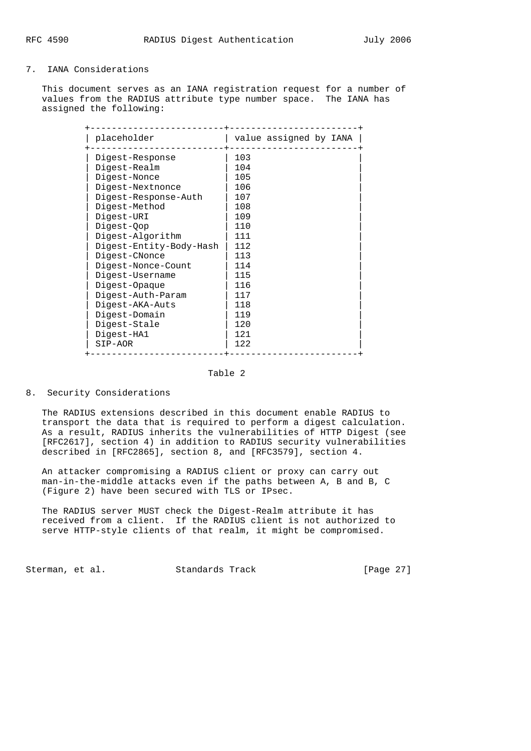## 7. IANA Considerations

 This document serves as an IANA registration request for a number of values from the RADIUS attribute type number space. The IANA has assigned the following:

| placeholder             | value assigned by IANA |
|-------------------------|------------------------|
| Digest-Response         | 103                    |
| Digest-Realm            | 104                    |
| Digest-Nonce            | 105                    |
| Digest-Nextnonce        | 106                    |
| Digest-Response-Auth    | 107                    |
| Digest-Method           | 108                    |
| Digest-URI              | 109                    |
| Digest-Qop              | 110                    |
| Digest-Algorithm        | 111                    |
| Digest-Entity-Body-Hash | 112                    |
| Digest-CNonce           | 113                    |
| Digest-Nonce-Count      | 114                    |
| Digest-Username         | 115                    |
| Digest-Opaque           | 116                    |
| Digest-Auth-Param       | 117                    |
| Digest-AKA-Auts         | 118                    |
| Digest-Domain           | 119                    |
| Digest-Stale            | 120                    |
| Digest-HA1              | 121                    |
| SIP-AOR                 | 122                    |

## Table 2

## 8. Security Considerations

 The RADIUS extensions described in this document enable RADIUS to transport the data that is required to perform a digest calculation. As a result, RADIUS inherits the vulnerabilities of HTTP Digest (see [RFC2617], section 4) in addition to RADIUS security vulnerabilities described in [RFC2865], section 8, and [RFC3579], section 4.

 An attacker compromising a RADIUS client or proxy can carry out man-in-the-middle attacks even if the paths between A, B and B, C (Figure 2) have been secured with TLS or IPsec.

 The RADIUS server MUST check the Digest-Realm attribute it has received from a client. If the RADIUS client is not authorized to serve HTTP-style clients of that realm, it might be compromised.

Sterman, et al. Standards Track [Page 27]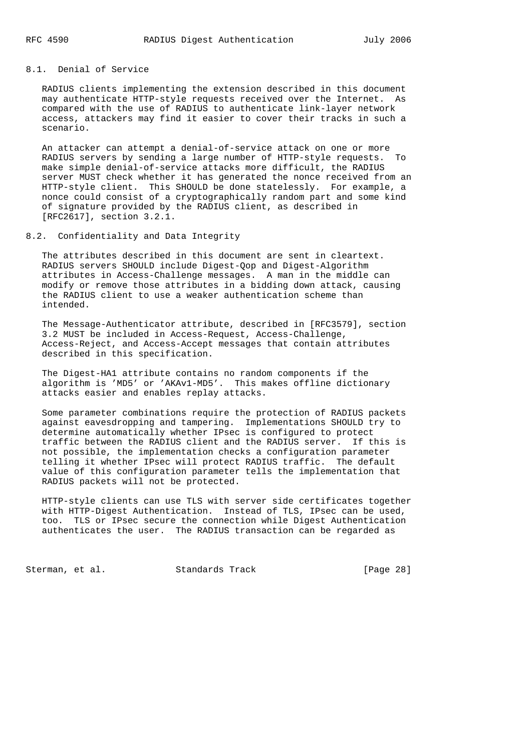## 8.1. Denial of Service

 RADIUS clients implementing the extension described in this document may authenticate HTTP-style requests received over the Internet. As compared with the use of RADIUS to authenticate link-layer network access, attackers may find it easier to cover their tracks in such a scenario.

 An attacker can attempt a denial-of-service attack on one or more RADIUS servers by sending a large number of HTTP-style requests. To make simple denial-of-service attacks more difficult, the RADIUS server MUST check whether it has generated the nonce received from an HTTP-style client. This SHOULD be done statelessly. For example, a nonce could consist of a cryptographically random part and some kind of signature provided by the RADIUS client, as described in [RFC2617], section 3.2.1.

8.2. Confidentiality and Data Integrity

 The attributes described in this document are sent in cleartext. RADIUS servers SHOULD include Digest-Qop and Digest-Algorithm attributes in Access-Challenge messages. A man in the middle can modify or remove those attributes in a bidding down attack, causing the RADIUS client to use a weaker authentication scheme than intended.

 The Message-Authenticator attribute, described in [RFC3579], section 3.2 MUST be included in Access-Request, Access-Challenge, Access-Reject, and Access-Accept messages that contain attributes described in this specification.

 The Digest-HA1 attribute contains no random components if the algorithm is 'MD5' or 'AKAv1-MD5'. This makes offline dictionary attacks easier and enables replay attacks.

 Some parameter combinations require the protection of RADIUS packets against eavesdropping and tampering. Implementations SHOULD try to determine automatically whether IPsec is configured to protect traffic between the RADIUS client and the RADIUS server. If this is not possible, the implementation checks a configuration parameter telling it whether IPsec will protect RADIUS traffic. The default value of this configuration parameter tells the implementation that RADIUS packets will not be protected.

 HTTP-style clients can use TLS with server side certificates together with HTTP-Digest Authentication. Instead of TLS, IPsec can be used, too. TLS or IPsec secure the connection while Digest Authentication authenticates the user. The RADIUS transaction can be regarded as

Sterman, et al. Standards Track [Page 28]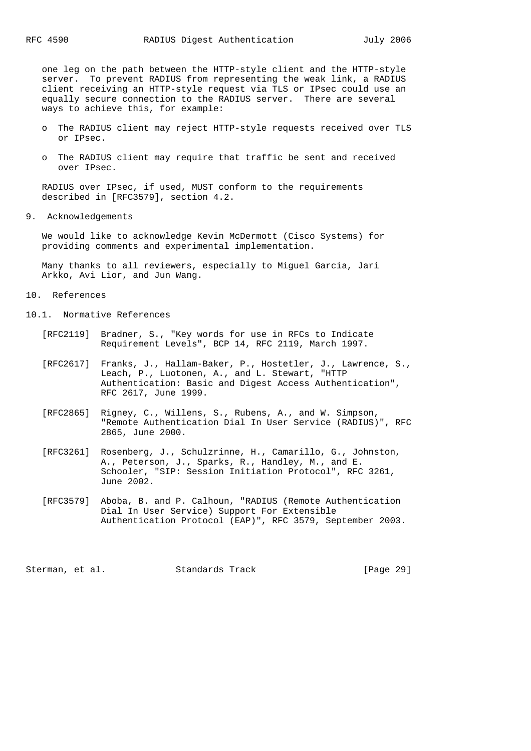one leg on the path between the HTTP-style client and the HTTP-style server. To prevent RADIUS from representing the weak link, a RADIUS client receiving an HTTP-style request via TLS or IPsec could use an equally secure connection to the RADIUS server. There are several ways to achieve this, for example:

- o The RADIUS client may reject HTTP-style requests received over TLS or IPsec.
- o The RADIUS client may require that traffic be sent and received over IPsec.

 RADIUS over IPsec, if used, MUST conform to the requirements described in [RFC3579], section 4.2.

9. Acknowledgements

 We would like to acknowledge Kevin McDermott (Cisco Systems) for providing comments and experimental implementation.

 Many thanks to all reviewers, especially to Miguel Garcia, Jari Arkko, Avi Lior, and Jun Wang.

10. References

10.1. Normative References

- [RFC2119] Bradner, S., "Key words for use in RFCs to Indicate Requirement Levels", BCP 14, RFC 2119, March 1997.
- [RFC2617] Franks, J., Hallam-Baker, P., Hostetler, J., Lawrence, S., Leach, P., Luotonen, A., and L. Stewart, "HTTP Authentication: Basic and Digest Access Authentication", RFC 2617, June 1999.
- [RFC2865] Rigney, C., Willens, S., Rubens, A., and W. Simpson, "Remote Authentication Dial In User Service (RADIUS)", RFC 2865, June 2000.
- [RFC3261] Rosenberg, J., Schulzrinne, H., Camarillo, G., Johnston, A., Peterson, J., Sparks, R., Handley, M., and E. Schooler, "SIP: Session Initiation Protocol", RFC 3261, June 2002.
- [RFC3579] Aboba, B. and P. Calhoun, "RADIUS (Remote Authentication Dial In User Service) Support For Extensible Authentication Protocol (EAP)", RFC 3579, September 2003.

Sterman, et al. Standards Track [Page 29]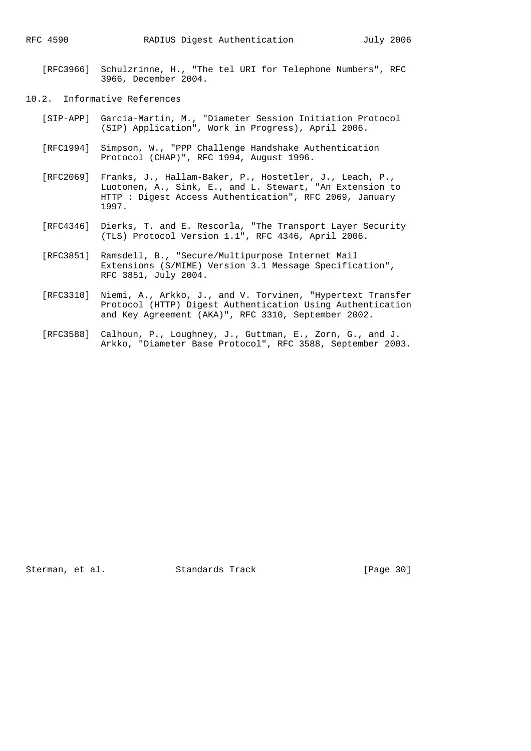- [RFC3966] Schulzrinne, H., "The tel URI for Telephone Numbers", RFC 3966, December 2004.
- 10.2. Informative References
	- [SIP-APP] Garcia-Martin, M., "Diameter Session Initiation Protocol (SIP) Application", Work in Progress), April 2006.
	- [RFC1994] Simpson, W., "PPP Challenge Handshake Authentication Protocol (CHAP)", RFC 1994, August 1996.
	- [RFC2069] Franks, J., Hallam-Baker, P., Hostetler, J., Leach, P., Luotonen, A., Sink, E., and L. Stewart, "An Extension to HTTP : Digest Access Authentication", RFC 2069, January 1997.
	- [RFC4346] Dierks, T. and E. Rescorla, "The Transport Layer Security (TLS) Protocol Version 1.1", RFC 4346, April 2006.
	- [RFC3851] Ramsdell, B., "Secure/Multipurpose Internet Mail Extensions (S/MIME) Version 3.1 Message Specification", RFC 3851, July 2004.
	- [RFC3310] Niemi, A., Arkko, J., and V. Torvinen, "Hypertext Transfer Protocol (HTTP) Digest Authentication Using Authentication and Key Agreement (AKA)", RFC 3310, September 2002.
	- [RFC3588] Calhoun, P., Loughney, J., Guttman, E., Zorn, G., and J. Arkko, "Diameter Base Protocol", RFC 3588, September 2003.

Sterman, et al. Standards Track [Page 30]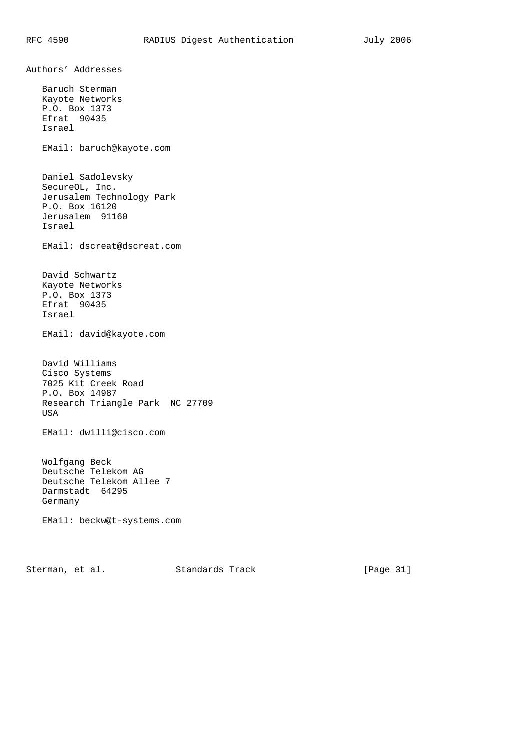Authors' Addresses Baruch Sterman Kayote Networks P.O. Box 1373 Efrat 90435 Israel EMail: baruch@kayote.com Daniel Sadolevsky SecureOL, Inc. Jerusalem Technology Park P.O. Box 16120 Jerusalem 91160 Israel EMail: dscreat@dscreat.com David Schwartz Kayote Networks P.O. Box 1373 Efrat 90435 Israel EMail: david@kayote.com David Williams Cisco Systems 7025 Kit Creek Road P.O. Box 14987 Research Triangle Park NC 27709 USA EMail: dwilli@cisco.com Wolfgang Beck Deutsche Telekom AG Deutsche Telekom Allee 7 Darmstadt 64295 Germany EMail: beckw@t-systems.com

Sterman, et al. Standards Track [Page 31]